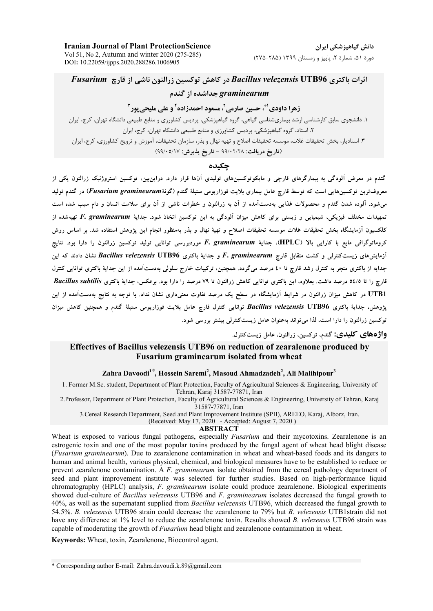**Iranian Journal of Plant ProtectionScience** Vol 51, No 2, Autumn and winter 2020 (275-285) DOI: 10.22059/ijpps.2020.288286.1006905

## اثرات باكترى Bacillus velezensis UTB96 در كاهش توكسين زرالنون ناشي از قارچ Fusarium graminearum حداشده از گندم

### زهرا داودي <sup>ام</sup>ّ، حسين صارمي<sup>7</sup>، مسعود احمدزاده<sup>7</sup> و على مليحي بور<sup>1</sup>

۱. دانشجوی سابق کارشناسی ارشد بیماریشناسی گیاهی، گروه گیاهیزشکی، پردیس کشاورزی و منابع طبیعی دانشگاه تهران، کرج، ایران ۲. استاد، گروه گیاهپزشکی، پردیس کشاورزی و منابع طبیعی دانشگاه تهران، کرج، ایران ۳. استادیار، بخش تحقیقات غلات، موسسه تحقیقات اصلاح و تهیه نهال و بذر، سازمان تحقیقات، آموزش و ترویج کشاورزی، کرج، ایران (تاريخ دريافت: ٢/٢٨٠٢/٢٨ - تاريخ پذيرش: ٥/١٧-٩٩/٠٥/١٧)

### جكىدە

گندم در معرض آلودگی به بیمارگرهای قارچی و مایکوتوکسینهای تولیدی آنها قرار دارد. دراین**بین، توکسین استروژنیک زرالنون یکی ا**ز معروفترین توکسینهایی است که توسط قارچ عامل بیماری بلایت فوزاریومی سنبلهٔ گندم (گونهٔFusarium graminearum) در گندم تولید می شود. آلوده شدن گندم و محصولات غذایی بهدستآمده از آن به زرالنون و خطرات ناشی از آن برای سلامت انسان و دام سبب شده است تمهیدات مختلف فیزیکی، شیمیایی و زیستی برای کاهش میزان آلودگی به این توکسین اتخاذ شود. جدایهٔ F. graminearum تهیهشده از کلکسیون اَزمایشگاه بخش تحقیقات غلات موسسه تحقیقات اصلاح و تهیهٔ نهال و بذر بهمنظور انجام این یژوهش استفاده شد. بر اساس روش کرومانوگرافی مایع با کارایی بالا (HPLC)، جدایهٔ F. graminearum موردبررسی توانایی تولید توکسین زرالنون را دارا بود. نتایج آزمایشهای زیستکنترلی و کشت متقابل قارچ F. graminearum و جدایهٔ باکتری Bacillus velezensis UTB96 نشان دادند که این جدایه از باکتری منجر به کنترل رشد قارچ تا ٤٠ درصد میگردد. همچنین، ترکیبات خارج سلولی بهدستآمده از این جدایهٔ باکتری توانایی کنترل قارچ را تا ٥٤/٥ درصد داشت. بعلاوه، این باکتری توانایی کاهش زرالنون تا ٧٩ درصد را دارا بود. برعکس، جدایهٔ باکتری Bacillus subtilis UTB1 در کاهش میزان زرالنون در شرایط آزمایشگاه در سطح یک درصد تفاوت معنیداری نشان نداد. با توجه به نتایج بهدستآمده از این يژوهش، جداية باكترى Bacillus velezensis UTB96 توانايي كنترل قارچ عامل بلايت فوزاريومي سنبلة گندم و همچنين كاهش ميزان توکسین زرالنون را دارا است، لذا می تواند بهعنوان عامل زیستکنترلی بیشتر بررسی شود.

**واژدهای کلیدی:** گندم، توکسین، زرالنون، عامل زیستکنترل.

### Effectives of Bacillus velezensis UTB96 on reduction of zearalenone produced by **Fusarium graminearum isolated from wheat**

### Zahra Davoodi<sup>1\*</sup>, Hossein Saremi<sup>2</sup>, Masoud Ahmadzadeh<sup>2</sup>, Ali Malihipour<sup>3</sup>

1. Former M.Sc. student, Department of Plant Protection, Faculty of Agricultural Sciences & Engineering, University of Tehran, Karaj 31587-77871, Iran

2. Professor, Department of Plant Protection, Faculty of Agricultural Sciences & Engineering, University of Tehran, Karaj 31587-77871, Iran

3. Cereal Research Department, Seed and Plant Improvement Institute (SPII), AREEO, Karaj, Alborz, Iran.

(Received: May 17, 2020 - Accepted: August 7, 2020)

#### **ABSTRACT**

Wheat is exposed to various fungal pathogens, especially *Fusarium* and their mycotoxins. Zearalenone is an estrogenic toxin and one of the most popular toxins produced by the fungal agent of wheat head blight disease (*Fusarium graminearum*). Due to zearalenone contamination in wheat and wheat-based foods and its dangers to human and animal health, various physical, chemical, and biological measures have to be established to reduce or prevent zearalenone contamination. A  $F$ , graminearum isolate obtained from the cereal pathology department of seed and plant improvement institute was selected for further studies. Based on high-performance liquid chromatography (HPLC) analysis, F. graminearum isolate could produce zearalenone. Biological experiments showed duel-culture of *Bacillus velezensis* UTB96 and *F. graminearum* isolates decreased the fungal growth to 40%, as well as the supernatant supplied from Bacillus velezensis UTB96, which decreased the fungal growth to 54.5%. B. velezensis UTB96 strain could decrease the zearalenone to 79% but B. velezensis UTB1strain did not have any difference at 1% level to reduce the zearalenone toxin. Results showed B. velezensis UTB96 strain was capable of moderating the growth of *Fusarium* head blight and zearalenone contamination in wheat.

Keywords: Wheat, toxin, Zearalenone, Biocontrol agent.

\* Corresponding author E-mail: Zahra.davoudi.k.89@gmail.com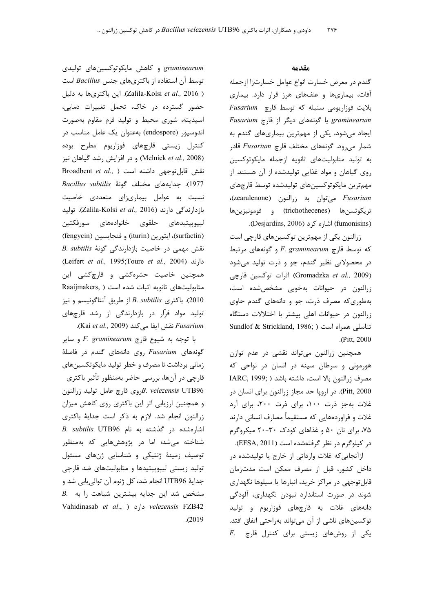#### مقدمه

گندم در معرض خسارت انواع عوامل خسارتزا ازجمله آفات، بیماریها و علفهای هرز قرار دارد. بیماری بلايت فوزاريومى سنبله كه توسط قارچ Fusarium graminearum یا گونههای دیگر از قارچ Fusarium ایجاد میشود، یکی از مهمترین بیماریهای گندم به شمار میرود. گونههای مختلف قارچ Fusarium قادر به تولید متابولیتهای ثانویه ازجمله مایکوتوکسین روی گیاهان و مواد غذایی تولیدشده از آن هستند. از مهمترين مايكوتوكسينهاى توليدشده توسط قارچهاى Eusarium میتوان به زرالنون (zearalenone)، تريكوتسنها (trichothecenes) و فومونيزينها (fumonisins) اشاره کرد (Desjardins, 2006).

زرالنون یکی از مهمترین توکسینهای قارچی است  $F. graminearum$ و گونههای مرتبط F. graminearum در محصولاتی نظیر گندم، جو و ذرت تولید میشود اثرات توكسين قارجى (Gromadzka et al., 2009) زرالنون در حیوانات بهخوبی مشخصشده است، بهطوری که مصرف ذرت، جو و دانههای گندم حاوی زرالنون در حیوانات اهلی بیشتر با اختلالات دستگاه Sundlof & Strickland, 1986; ) تناسلی همراه است .(Pitt, 2000).

همچنین زرالنون می تواند نقشی در عدم توازن هورمونی و سرطان سینه در انسان در نواحی که IARC, 1999; ) مصرف زرالنون بالا است، داشته باشد Pitt, 2000). در اروپا حد مجاز زرالنون برای انسان در غلات بهجز ذرت ١٠٠، برای ذرت ٢٠٠، برای آرد غلات و فراوردههایی که مستقیماً مصارف انسانی دارند ۷۵، برای نان ۵۰ و غذاهای کودک ۳۰-۲۰ میکروگرم در کیلوگرم در نظر گرفتهشده است (EFSA, 2011).

ازآنجایی که غلات وارداتی از خارج یا تولیدشده در داخل کشور، قبل از مصرف ممکن است مدتزمان قابل توجهي در مراكز خريد، انبارها يا سيلوها نگهداري شوند در صورت استاندارد نبودن نگهداری، آلودگی دانههای غلات به قارچهای فوزاریوم و تولید توكسينهاي ناشي از آن مي تواند بهراحتي اتفاق افتد.  $F$ . یکی از روشهای زیستی برای کنترل قارچ

graminearum و کاهش مایکوتوکسینهای تولیدی توسط آن استفاده از باکتریهای جنس Bacillus است ( Zalila-Kolsi et al., 2016). اين باكترىها به دليل حضور گسترده در خاک، تحمل تغییرات دمایی، اسیدیته، شوری محیط و تولید فرم مقاوم بهصورت اندوسپور (endospore) بهعنوان یک عامل مناسب در کنترل زیستی قارچهای فوزاریوم مطرح بوده (Melnick et al., 2008) و در افزایش رشد گیاهان نیز Broadbent et al., ) نقش قابل توجهی داشته است 1977). جدايههاى مختلف گونهٔ Bacillus subtilis نسبت به عوامل بیماریزای متعددی خاصیت بازدارندگی دارند (Zalila-Kolsi et al., 2016). تولید ليپوپپتيدهاى حلقوى خانوادههاى سورفكتين (surfactin)، ايتورين (iturin) و فنجايسين (fengycin) B. subtilis نقش مهمی در خاصیت بازدارندگی گونهٔ دارند (Leifert et al., 1995;Toure et al., 2004) همچنین خاصیت حشرهکشی و قارچکشی این Raaijmakers, ) شده است (Raaijmakers, ) از طريق آنتاگونيسم و نيز B. subtilis (2010 تولید مواد فرار در بازدارندگی از رشد قارچهای .(Kai et al., 2009) نقش ايفا مي كند (Kai et al., 2009).

با توجه به شیوع قارچ F. graminearum و سایر گونههای Fusarium روی دانههای گندم در فاصلهٔ زمانی برداشت تا مصرف و خطر تولید مایکوتکسینهای قارچی در آنها، بررسی حاضر بهمنظور تأثیر باکتری B. velezensis UTB96 روى قارچ عامل توليد زرالنون و همچنین ارزیابی اثر این باکتری روی کاهش میزان زرالنون انجام شد. لازم به ذکر است جدایهٔ باکتری B. subtilis UTB96 اشارهشده در گذشته به نام شناخته میشد؛ اما در پژوهشهایی که بهمنظور توصیف زمینهٔ ژنتیکی و شناسایی ژنهای مسئول تولید زیستی لیپوپپتیدها و متابولیتهای ضد قارچی جدايهٔ UTB96 انجام شد، كل ژنوم آن توالي يابي شد و B. مشخص شد این جدایه بیشترین شباهت را به Vahidinasab et al., ) Jo velezensis FZB42  $. (2019$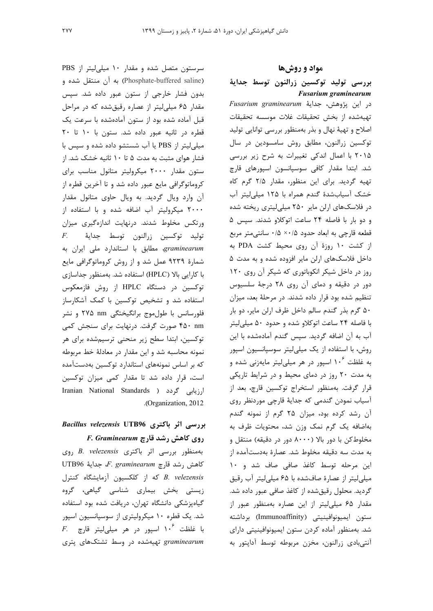سرستون متصل شده و مقدار ١٠ ميلي ليتر از PBS (Phosphate-buffered saline) به أن منتقل شده و بدون فشار خارجی از ستون عبور داده شد. سپس مقدار ۶۵ میلی لیتر از عصاره رقیق شده که در مراحل قبل آماده شده بود از ستون آمادهشده با سرعت یک قطره در ثانیه عبور داده شد. ستون با ١٠ تا ٢٠ میلی لیتر از PBS یا آب شستشو داده شده و سپس با فشار هوای مثبت به مدت ۵ تا ۱۰ ثانیه خشک شد. از ستون مقدار ۲۰۰۰ میکرولیتر متانول مناسب برای کروماتوگرافی مایع عبور داده شد و تا آخرین قطره از آن وارد ویال گردید. به ویال حاوی متانول مقدار ۲۰۰۰ میکرولیتر آب اضافه شده و با استفاده از ورتکس مخلوط شدند. درنهایت اندازهگیری میزان توليد توكسين زرالنون توسط جدايۀ  $F_{\cdot}$ graminearum، مطابق با استاندارد ملی ایران به شمارهٔ ۹۲۳۹ عمل شد و از روش کروماتوگرافی مایع با کارایی بالا (HPLC) استفاده شد. بهمنظور جداسازی توکسین در دستگاه HPLC از روش فازمعکوس

نمونه محاسبه شد و این مقدار در معادلهٔ خط مربوطه که بر اساس نمونههای استاندارد توکسین بهدستآمده است، قرار داده شد تا مقدار کمی میزان توکسین Iranian National Standards ) گردد ( Iranian National Standards .(Organization, 2012).

استفاده شد و تشخیص توکسین با کمک آشکارساز

فلورسانس با طول موج برانگیختگی ۲۷۵ nm و نشر

۴۵۰ nm صورت گرفت. درنهایت برای سنجش کمی

توکسین، ابتدا سطح زیر منحنی ترسیمشده برای هر

# بررسی اثر باکتری Bacillus velezensis UTB96 F. Graminearum بروی کاهش رشد قارچ

بهمنظور بررسی اثر باکتری B. velezensis روی UTB96 كاهش رشد قارچ F. graminearum حداية B. velezensis كه از كلكسيون آزمايشگاه كنترل زیستی بخش بیماری شناسی گیاهی، گروه گیاهپزشکی دانشگاه تهران، دریافت شده بود استفاده شد. یک قطره ۱۰ میکرولیتری از سوسپانسیون اسپور F. المخلطت ۱۰۶ اسپور در هر میلی لیتر قارچ graminearum تهیهشده در وسط تشتکهای پتری مواد و روشها

### بررسى توليد توكسين زرالنون توسط جداية **Fusarium graminearum**

در این پژوهش، جدایهٔ Fusarium graminearum تهيهشده از بخش تحقيقات غلات موسسه تحقيقات اصلاح و تهیهٔ نهال و بذر بهمنظور بررسی توانایی تولید توكسين زرالنون، مطابق روش سامسودين در سال ۲۰۱۵ با اعمال اندکی تغییرات به شرح زیر بررسی شد. ابتدا مقدار كافي سوسپانسون اسپورهاي قارچ تهیه گردید. برای این منظور، مقدار ۲/۵ گرم کاه خشک آسیابشدهٔ گندم همراه با ۱۲۵ میلی لیتر آب در فلاسکهای ارلن مایر ۲۵۰ میلی لیتری ریخته شده و دو بار با فاصله ٢۴ ساعت اتوكلاو شدند. سيس ۵ قطعه قارچی به ابعاد حدود ۰/۵× ۰/۵ سانتی متر مربع از کشت ۱۰ روزهٔ آن روی محیط کشت PDA به داخل فلاسکهای ارلن مایر افزوده شده و به مدت ۵ روز در داخل شیکر انکوباتوری که شیکر آن روی ١٢٠ دور در دقیقه و دمای آن روی ۲۸ درجهٔ سلسیوس تنظیم شده بود قرار داده شدند. در مرحلهٔ بعد، میزان ۵۰ گرم بذر گندم سالم داخل ظرف ارلن مایر، دو بار با فاصله ۲۴ ساعت اتوکلاو شده و حدود ۵۰ میلی لیتر آب به آن اضافه گردید. سپس گندم آمادهشده با این روش، با استفاده از یک میلی لیتر سوسپانسیون اسپور به غلظت ۱۰<sup>۶</sup> اسپور در هر میلی لیتر مایهزنی شده و به مدت ۲۰ روز در دمای محیط و در شرایط تاریکی قرار گرفت. بهمنظور استخراج توکسین قارچ، بعد از آسياب نمودن گندمي كه جدايهٔ قارچي موردنظر روي آن رشد کرده بود، میزان ۲۵ گرم از نمونه گندم بهاضافه یک گرم نمک وزن شد، محتویات ظرف به مخلوط کن با دور بالا (۸۰۰۰ دور در دقیقه) منتقل و به مدت سه دقیقه مخلوط شد. عصارهٔ بهدستآمده از این مرحله توسط کاغذ صافی صاف شد و ۱۰ میلی لیتر از عصارهٔ صافشده با ۶۵ میلی لیتر آب رقیق گردید. محلول رقیقشده از کاغذ صافی عبور داده شد. مقدار ۶۵ میلی لیتر از این عصاره بهمنظور عبور از ستون ايميونوافينيتي (Immunoaffinity) برداشته شد. بهمنظور آماده كردن ستون ايميونوافينيتي داراي آنتي بادي زرالنون، مخزن مربوطه توسط آداپتور به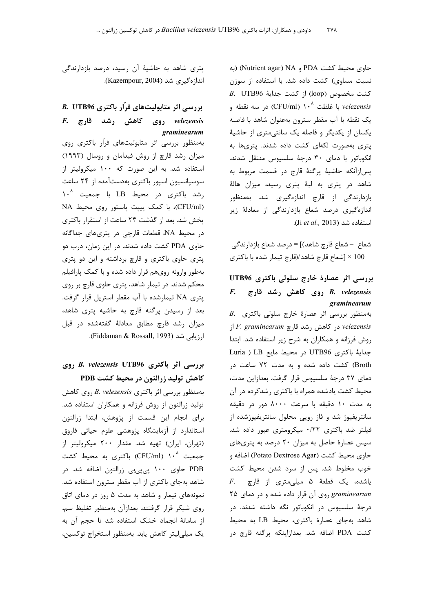حاوي محيط كشت PDA و Nutrient agar) NA) (به نسبت مساوی) کشت داده شد. با استفاده از سوزن B. UTB96 أز كشت جداية 6UTB96 3. با غلظت ^ ۱۰ (CFU/ml) در سه نقطه و  $\it{velezensis}$ يک نقطه با آب مقطر سترون بهعنوان شاهد با فاصله یکسان از یکدیگر و فاصله یک سانتی متری از حاشیهٔ پتری بهصورت لکهای کشت داده شدند. پتریها به انكوباتور با دماي ٣٠ درجة سلسيوس منتقل شدند. پس|زآنكه حاشيهٔ پرگنهٔ قارچ در قسمت مربوط به شاهد در پتری به لبهٔ پتری رسید، میزان هالهٔ بازدارندگی از قارچ اندازهگیری شد. بهمنظور اندازهگیری درصد شعاع بازدارندگی از معادلهٔ زیر استفاده شد (Ji et al., 2013).

شعاع – شعاع قارچ شاهد)] = درصد شعاع بازدارندگی 100 × [شعاع قارچ شاهد/(قارچ تيمار شده با باكترى

بررسی اثر عصارهٔ خارج سلولی باکتری UTB96 B. velezensis روی کاهش رشد قارچ F. graminearum B. بهمنظور بررسی اثر عصارهٔ خارج سلولی باکتری از F. graminearum در کاهش رشد قارچ F. graminearum در روش فرزانه و همکاران به شرح زیر استفاده شد. ابتدا Euria ) LB در محيط مايع Luria ) LB Broth) کشت داده شده و به مدت ۷۲ ساعت در دماي ٣٧ درجة سلسيوس قرار گرفت. بعدازاين مدت، محیط کشت یادشده همراه با باکتری رشدکرده در آن به مدت ١٠ دقيقه با سرعت ٨٠٠٠ دور در دقيقه سانتریفیوژ شد و فاز رویی محلول سانتریفیوژشده از فیلتر ضد باکتری ۰/۲۲ میکرومتری عبور داده شد. سپس عصارهٔ حاصل به میزان ۲۰ درصد به پتریهای حاوی محیط کشت (Potato Dextrose Agar) اضافه و خوب مخلوط شد. پس از سرد شدن محیط کشت F. پاشده، یک قطعهٔ ۵ میلی متری از قارچ graminearum روی آن قرار داده شده و در دمای ۲۵ درجهٔ سلسیوس در انکوباتور نگه داشته شدند. در شاهد بهجای عصارهٔ باکتری، محیط LB به محیط کشت PDA اضافه شد. بعدازاینکه پرگنه قارچ در

پتری شاهد به حاشیهٔ آن رسید، درصد بازدارندگی اندازەگىرى شد (Kazempour, 2004).

# بررسی اثر متابولیتهای فرّار باکتری B. UTB96  $F.$  وی کاهش رشد قارچ F. F. وی graminearum

بهمنظور بررسی اثر متابولیتهای فرّار باکتری روی میزان رشد قارچ از روش فیدامان و روسال (۱۹۹۳) استفاده شد. به این صورت که ۱۰۰ میکرولیتر از سوسیانسیون اسپور باکتری بهدستآمده از ۲۴ ساعت رشد باكترى در محيط LB با جمعيت 1.<sup>^</sup> (CFU/ml)، با کمک پیپت پاستور روی محیط NA یخش شد. بعد از گذشت ۲۴ ساعت از استقرار باکتری در محیط NA، قطعات قارچی در پتریهای جداگانه حاوی PDA کشت داده شدند. در این زمان، درب دو پتری حاوی باکتری و قارچ برداشته و این دو پتری بهطور وارونه روى هم قرار داده شده و با كمك پارافيلم محکم شدند. در تیمار شاهد، پتری حاوی قارچ بر روی پتری NA تیمارشده با آب مقطر استریل قرار گرفت. بعد از رسیدن پرگنه قارچ به حاشیه پتری شاهد، میزان رشد قارچ مطابق معادلهٔ گفتهشده در قبل ارزیابی شد (Fiddaman & Rossall, 1993).

# بررسی اثر باکتری B. velezensis UTB96 روی کاهش تولید زرالنون در محیط کشت PDB

بهمنظور بررسی اثر باکتری B. velezensis روی کاهش تولید زرالنون از روش فرزانه و همکاران استفاده شد. برای انجام این قسمت از پژوهش، ابتدا زرالنون استاندارد از آزمایشگاه پژوهشی علوم حیاتی فاروق (تهران، ایران) تهیه شد. مقدار ۲۰۰ میکرولیتر از جمعیت ^۱ (CFU/ml) باکتری به محیط کشت PDB حاوی ۱۰۰ پی<sub>ه</sub>یی زرالنون اضافه شد. در شاهد بهجای باکتری از آب مقطر سترون استفاده شد. نمونههای تیمار و شاهد به مدت ۵ روز در دمای اتاق روی شیکر قرار گرفتند. بعدازآن بهمنظور تغلیظ سم، از سامانهٔ انجماد خشک استفاده شد تا حجم آن به یک میلی لیتر کاهش یابد. بهمنظور استخراج توکسین،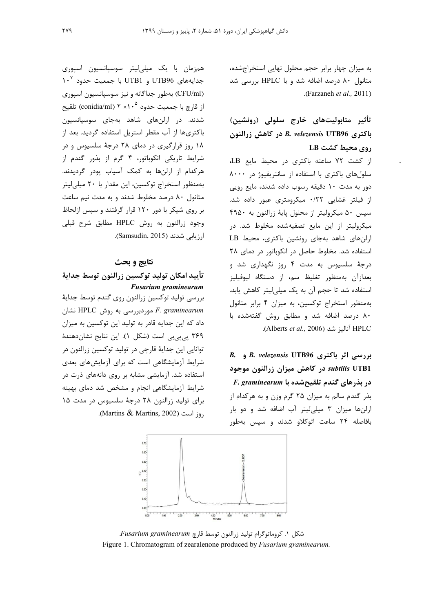به میزان چهار برابر حجم محلول نهایی استخراجشده، متانول ۸۰ درصد اضافه شد و با HPLC بررسی شد .(Farzaneh et al., 2011)

تأثیر متابولیتهای خارج سلولی (رونشین) باكترى B. velezensis UTB96 در كاهش زرالنون روی محیط کشت LB

از کشت ۷۲ ساعته باکتری در محیط مایع LB، سلول های باکتری با استفاده از سانتریفیوژ در ۸۰۰۰ دور به مدت ۱۰ دقیقه رسوب داده شدند، مایع رویی از فیلتر غشایی ۰/۲۲ میکرومتری عبور داده شد. سيس ۵۰ ميكروليتر از محلول يايهٔ زرالنون به ۴۹۵۰ میکرولیتر از این مایع تصفیهشده مخلوط شد. در ارلنهای شاهد بهجای رونشین باکتری، محیط LB استفاده شد. مخلوط حاصل در انکوباتور در دمای ۲۸ درجهٔ سلسیوس به مدت ۴ روز نگهداری شد و بعدازآن بهمنظور تغليظ سم، از دستگاه ليوفيليز استفاده شد تا حجم آن به یک میلی لیتر کاهش یابد. بهمنظور استخراج توكسين، به ميزان ۴ برابر متانول ۸۰ درصد اضافه شد و مطابق روش گفتهشده با Alberts et al., 2006) أناليز شد.

B. velezensis UTB96 و B. Velezensis UTB96 subtilis UTB1 در کاهش میزان زرالنون موجود F. graminearum به تلقیح شده با بذر گندم سالم به میزان ۲۵ گرم وزن و به هرکدام از ارلنها میزان ۳ میلی لیتر آب اضافه شد و دو بار بافاصله ۲۴ ساعت اتوکلاو شدند و سپس بهطور

همزمان با یک میلیلیتر سوسپانسیون اسپوری 10 با جمعیت حدود ۱۰<sup>۷ می</sup>ر UTB1 با جمعیت حدود (CFU/ml) بهطور جداگانه و نیز سوسپانسیون اسپوری از قارچ با جمعیت حدود ° ۲ × ۲ (conidia/ml) تلقیح شدند. در ارلنهای شاهد بهجای سوسپانسیون باکتریها از آب مقطر استریل استفاده گردید. بعد از ۱۸ روز قرارگیری در دمای ۲۸ درجهٔ سلسیوس و در شرایط تاریکی انکوباتور، ۴ گرم از بذور گندم از هرکدام از ارلنها به کمک آسیاب پودر گردیدند. بهمنظور استخراج توكسين، اين مقدار با ٢٠ ميلي ليتر متانول ۸۰ درصد مخلوط شدند و به مدت نیم ساعت بر روی شیکر با دور ۱۲۰ قرار گرفتند و سپس ازلحاظ وجود زرالنون به روش HPLC مطابق شرح قبلي ارزیابی شدند (Samsudin, 2015).

### نتايج و بحث

تأييد امكان توليد توكسين زرالنون توسط جداية **Fusarium graminearum** 

بررسی تولید توکسین زرالنون روی گندم توسط جدایهٔ F. graminearum موردبررسی به روش HPLC نشان داد که این جدایه قادر به تولید این توکسین به میزان ۳۶۹ پی پی بی است (شکل ۱). این نتایج نشاندهندهٔ توانايي اين جدايهٔ قارچي در توليد توكسين زرالنون در شرایط آزمایشگاهی است که برای آزمایشهای بعدی استفاده شد. آزمایشی مشابه بر روی دانههای ذرت در شرایط آزمایشگاهی انجام و مشخص شد دمای بهینه برای تولید زرالنون ٢٨ درجة سلسیوس در مدت ١۵ .(Martins & Martins, 2002).



شكل ۱. كروماتوگرام توليد زرالنون توسط قارچ Fusarium graminearum Figure 1. Chromatogram of zearalenone produced by *Fusarium graminearum*.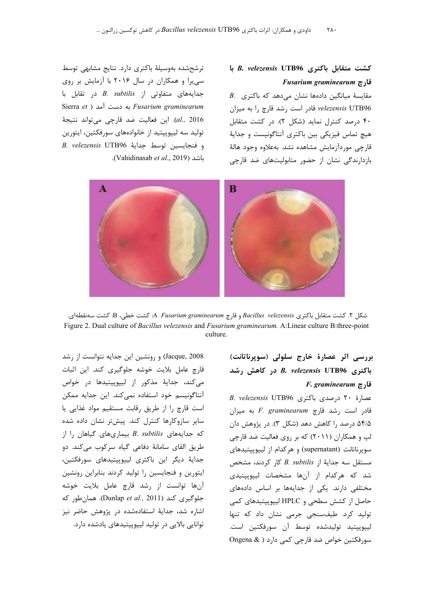ترشحشده بهوسیلهٔ باکتری دارد. نتایج مشابهی توسط سی یرا و همکاران در سال ۲۰۱۶ با آزمایش بر روی جدایههای متفاوتی از B. subtilis در تقابل با Sierra et ) به دست آمد Fusarium graminearum al., 2016). این فعالیت ضد قارچی می تواند نتیجهٔ تولید سه لیپوپپتید از خانوادههای سورفکتین، ایتورین B. velezensis UTB96 جداية 40TB96 B. .(Vahidinasab et al., 2019).



شكل ٢. كشت متقابل باكترى Bacillus velezensis و قارچ A Fusarium graminearum. كشت خطي، B: كشت سەنقطەاي. Figure 2. Dual culture of Bacillus velezensis and Fusarium graminearum. A:Linear culture B:three-point culture.

Jacque, 2008) و رونشین این جدایه نتوانست از رشد قارچ عامل بلایت خوشه جلوگیری کند. این اثبات می کند، جدایهٔ مذکور از لیپوپپتیدها در خواص آنتاگونیسم خود استفاده نمی کند. این جدایه ممکن است قارچ را از طريق رقابت مستقيم مواد غذايي يا سایر سازوکارها کنترل کند. پیشتر نشان داده شده که جدایههای B. subtilis بیماریهای گیاهان را از طريق القاى سامانهٔ دفاعى گياه سركوب مى كند. دو جدایهٔ دیگر این باکتری لیپوپپتیدهای سورفکتین، ایتورین و فنجایسین را تولید کردند بنابراین رونشین آنها توانست از رشد قارچ عامل بلایت خوشه جلوگیری کند (Dunlap et al., 2011). همان طور که اشاره شد، جدایهٔ استفادهشده در پژوهش حاضر نیز توانایی بالایی در تولید لییوییتیدهای پادشده دارد.

بررسی اثر عصارهٔ خارج سلولی (سوپرناتانت) باكترى B. velezensis UTB96 در كاهش رشد  $F.$  graminearum  $\tau$ قار

B. velezensis UTB96 باكترى B. velezensis UTB96 قادر است رشد قارچ F. graminearum به میزان ۵۴/۵ درصد را کاهش دهد (شکل ۳). در پژوهش دان لپ و همکاران (۲۰۱۱) که بر روی فعالیت ضد قارچی سویرناتانت (supernatant) و هر کدام از لیپوییتیدهای مستقل سه جدایهٔ از B. subtilis کار کردند، مشخص شد که هرکدام از آنها مشخصات لیپوییتیدی مختلفی دارند. یکی از جدایهها بر اساس دادههای حاصل از کشش سطحی و HPLC لیپوپپتیدهای کمی تولید کرد. طیفسنجی جرمی نشان داد که تنها ليپوپپتيد توليدشده توسط آن سورفكتين است. سورفكتين خواص ضد قارچى كمى دارد ( @ Ongena

## كشت متقابل باكترى B. velezensis UTB96 با قارچ Fusarium graminearum

 $B$ . مقایسهٔ میانگین دادهها نشان میدهد که باکتری velezensis UTB96 قادر است رشد قارچ را به میزان ۴۰ درصد کنترل نماید (شکل ۲). در کشت متقابل هيچ تماس فيزيکي بين باکتري آنتاگونيست و جدايۀ قارچی موردآزمایش مشاهده نشد. بهعلاوه وجود هالهٔ بازدارندگی نشان از حضور متابولیتهای ضد قارچی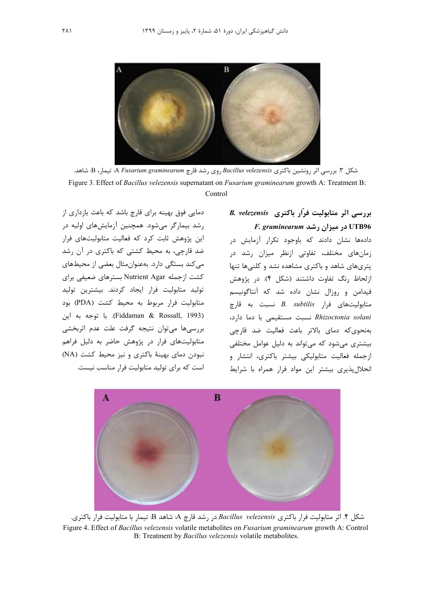

شکل ۳. بررسی اثر رونشین باکتری Bacillus velezensis روی رشد قارچ A Fusarium graminearum: تیمار، B: شاهد. Figure 3. Effect of *Bacillus velezensis* supernatant on *Fusarium graminearum* growth A: Treatment B: Control

دمایی فوق بهینه برای قارچ باشد که باعث بازداری از رشد بیمارگر میشود. همچنین آزمایشهای اولیه در این پژوهش ثابت کرد که فعالیت متابولیتهای فرار ضد قارچی، به محیط کشتی که باکتری در آن رشد می کند بستگی دارد. بهعنوان مثال بعضی از محیطهای کشت ازجمله Nutrient Agar بسترهای ضعیفی برای تولید متابولیت فرار ایجاد کردند. بیشترین تولید متابولیت فرار مربوط به محیط کشت (PDA) بود (Fiddaman & Rossall, 1993). با توجه به اين بررسيها مىتوان نتيجه كرفت علت عدم اثربخشى متابولیتهای فرار در پژوهش حاضر به دلیل فراهم نبودن دمای بهینهٔ باکتری و نیز محیط کشت (NA) است که برای تولید متابولیت فرار مناسب نیست.

# B. velezensis وار باكترى B. velezensis F. graminearum در میزان رشد

دادهها نشان دادند که باوجود تکرار آزمایش در زمانهای مختلف، تفاوتی ازنظر میزان رشد در پتریهای شاهد و باکتری مشاهده نشد و کلنیها تنها ازلحاظ رنگ تفاوت داشتند (شکل ۴). در پژوهش فیدامن و روزال نشان داده شد که آنتاگونیسم متابوليتهاى فرار B. subtilis نسبت به قارچ Rhizoctonia solani نسبت مستقيمى با دما دارد، بەنحوىكە دماي بالاتر باعث فعاليت ضد قارچى بیشتری می شود که می تواند به دلیل عوامل مختلفی ازجمله فعالیت متابولیکی بیشتر باکتری، انتشار و انحلال یذیری بیشتر این مواد فرار همراه با شرایط



شكل ۴. اثر متابوليت فرار باكترى Bacillus velezensis در رشد قارچ A: شاهد B: تيمار با متابوليت فرار باكترى. Figure 4. Effect of Bacillus velezensis volatile metabolites on Fusarium graminearum growth A: Control B: Treatment by Bacillus velezensis volatile metabolites.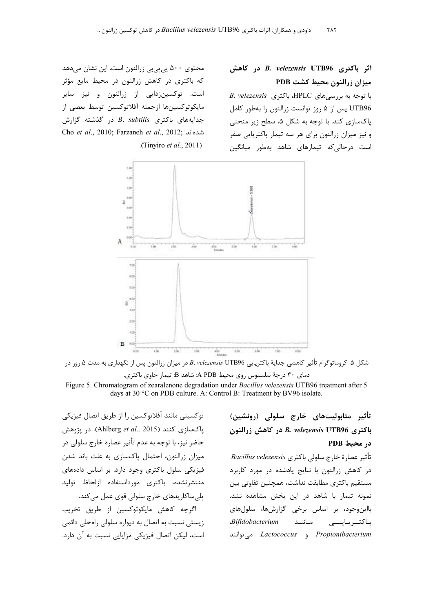محتوی ۵۰۰ پی پی بی زرالنون است. این نشان می دهد که باکتری در کاهش زرالنون در محیط مایع مؤثر است. توکسین;دایی از زرالنون و نیز سایر مايكوتوكسينها ازجمله آفلاتوكسين توسط بعضى از  $B.$  subtilis جدایههای باکتری B. subtilis در گذشته گزارش Cho et al., 2010; Farzaneh et al., 2012; شدهاند .(Tinyiro *et al.*, 2011).

اثر باكترى B. velezensis UTB96 در كاهش میزان زرالنون محیط کشت PDB

B. velezensis باكترى HPLC، باكترى B. velezensis UTB96 يس از ۵ روز توانست زرالنون را بهطور كامل یاکسازی کند. با توجه به شکل ۵، سطح زیر منحنی و نیز میزان زرالنون برای هر سه تیمار باکتریایی صفر است درحالی که تیمارهای شاهد بهطور میانگین



شكل ۵. كروماتوگرام تأثير كاهشي جدايهٔ باكتريايي B. velezensis UTB96 در ميزان زرالنون پس از نگهداري به مدت ۵ روز در دمای ۳۰ درجهٔ سلسیوس روی محیط A PDB: شاهد B: تیمار حاوی باکتری.

Figure 5. Chromatogram of zearalenone degradation under Bacillus velezensis UTB96 treatment after 5 days at 30 °C on PDB culture. A: Control B: Treatment by BV96 isolate.

توكسيني مانند آفلاتوكسين را از طريق اتصال فيزيكي ياكسازي كنند (Ahlberg et al., 2015). در پژوهش حاضر نيز، با توجه به عدم تأثير عصارهٔ خارج سلولي در میزان زرالنون، احتمال پاکسازی به علت باند شدن فیزیکی سلول باکتری وجود دارد. بر اساس دادههای منتشرنشده، باكترى مورداستفاده ازلحاظ توليد پلې ساکاريدهای خارج سلولې قوی عمل مې کند.

اگرچه کاهش مایکوتوکسین از طریق تخریب زیستی نسبت به اتصال به دیواره سلولی راهحلی دائمی است، لیکن اتصال فیزیکی مزایایی نسبت به آن دارد: تأثير متابوليتهاي خارج سلولي (رونشين) باكترى B. velezensis UTB96 در كاهش زرالنون در محیط PDB

تأثير عصارة خارج سلولي باكترى Bacillus velezensis در کاهش زرالنون با نتایج یادشده در مورد کاربرد مستقیم باکتری مطابقت نداشت، همچنین تفاوتی بین نمونه تیمار با شاهد در این بخش مشاهده نشد. بااین وجود، بر اساس برخی گزارشها، سلولهای باكتـريايـــى مـاننـد Bifidobacterium Propionibacterium و Lactococcus می توانند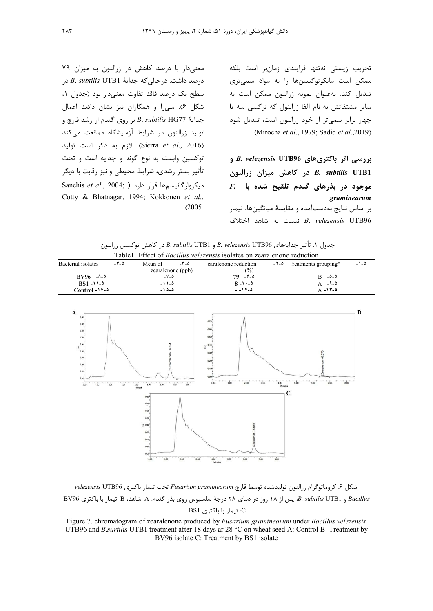معنی دار با درصد کاهش در زرالنون به میزان ۷۹ درصد داشت. درحالی که جدایهٔ B. subtilis UTB1 در سطح یک درصد فاقد تفاوت معنیدار بود (جدول ۱، شکل ۶). سی را و همکاران نیز نشان دادند اعمال بر روى گندم از رشد قارچ و B. subtilis HG77 تولید زرالنون در شرایط آزمایشگاه ممانعت میکند (Sierra et al., 2016). لازم به ذكر است توليد توکسین وابسته به نوع گونه و جدایه است و تحت تأثیر بستر رشدی، شرایط محیطی و نیز رقابت با دیگر Sanchis et al., 2004; ) میکروار گانیسمها قرار دارد Cotty & Bhatnagar, 1994; Kokkonen et al.,  $. (2005$ 

تخریب زیستی نهتنها فرایندی زمانبر است بلکه ممکن است مایکوتوکسینها را به مواد سمیتری تبدیل کند. بهعنوان نمونه زرالنون ممکن است به سایر مشتقاتش به نام آلفا زرالنول که ترکیبی سه تا چهار برابر سمیتر از خود زرالنون است، تبدیل شود .(Mirocha et al., 1979; Sadiq et al., 2019).

بررسی اثر باکتریهای B. velezensis UTB96 و در كاهش ميزان زرالنون B. subtilis UTB1 F. بدرهای گندم تلقیح شده با  $F$ . graminearum بر اساس نتايج بهدستآمده و مقايسهٔ ميانگينها، تيمار B. velezensis UTB96 نسبت به شاهد اختلاف

|                                                                                |      |                   |      | جدول ۱. تاتیر جدایههای B. velezensis UTBJ6 رو B. subtilis UTBT در کاهش توکسین زرالنون |  |                             |       |
|--------------------------------------------------------------------------------|------|-------------------|------|---------------------------------------------------------------------------------------|--|-----------------------------|-------|
| Table1. Effect of <i>Bacillus velezensis</i> isolates on zearalenone reduction |      |                   |      |                                                                                       |  |                             |       |
| Bacterial isolates                                                             | -4-5 | Mean of           | -3-5 | earalenone reduction                                                                  |  | $-7-4$ [reatments grouping* | ۵- ۱- |
|                                                                                |      | zearalenone (ppb) |      | $\frac{6}{2}$                                                                         |  |                             |       |
| $BV96 - \lambda - \delta$                                                      |      | $-V - \Delta$     |      | $79 - 9 - 2$                                                                          |  | $B = \Delta - \Delta$       |       |
| $BS1 - 17 - 2$                                                                 |      | $-11 - 4$         |      | $8 - 1 - 0$                                                                           |  | $A - 9 - \Delta$            |       |
| Control - $19-2$                                                               |      | ۵-۱۵-۵            |      | $-19-0$                                                                               |  | $A - 1T - \Delta$           |       |

 $\overline{B}$  $\overline{C}$ 

شكل ۶. كروماتوگرام زرالنون توليدشده توسط قارچ Fusarium graminearum تحت تيمار باكترى velezensis UTB96 Bacillus و B. subtilis UTB1، پس از ۱۸ روز در دمای ۲۸ درجهٔ سلسیوس روی بذر گندم. A: شاهد، B: تیمار با باکتری BV96 C: تیمار با باکتری BS1.

Figure 7. chromatogram of zearalenone produced by Fusarium graminearum under Bacillus velezensis UTB96 and *B.surtilis* UTB1 treatment after 18 days ar 28 °C on wheat seed A: Control B: Treatment by BV96 isolate C: Treatment by BS1 isolate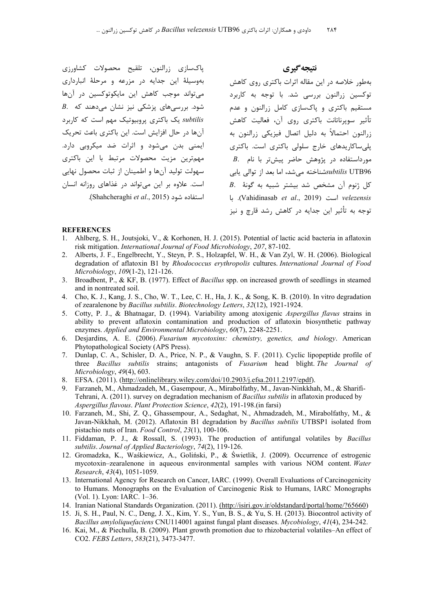پاکسازی زرالنون، تلقیح محصولات کشاورزی بهوسیلهٔ این جدایه در مزرعه و مرحلهٔ انبارداری می تواند موجب کاهش این مایکوتوکسین در آنها B. شود. بررسیهای پزشکی نیز نشان میدهند که subtilis یک باکتری پروبیوتیک مهم است که کاربرد آنها در حال افزایش است. این باکتری باعث تحریک ایمنی بدن میشود و اثرات ضد میکروبی دارد. مهمترین مزیت محصولات مرتبط با این باکتری سهولت توليد آنها و اطمينان از ثبات محصول نهايي است. علاوه بر این می تواند در غذاهای روزانه انسان .(Shahcheraghi et al., 2015). نتيجه گيري

بهطور خلاصه در این مقاله اثرات باکتری روی کاهش توکسین زرالنون بررسی شد. با توجه به کاربرد مستقیم باکتری و پاکسازی کامل زرالنون و عدم تأثير سويرناتانت باكترى روى آن، فعاليت كاهش زرالنون احتمالاً به دليل اتصال فيزيكي زرالنون به پلی ساکاریدهای خارج سلولی باکتری است. باکتری  $B$ . مورداستفاده در پژوهش حاضر پیشتر با نام subtilis UTB96شناخته می شد، اما بعد از توالی یابی  $B$ . كل ژنوم آن مشخص شد بيشتر شبيه به گونهٔ velezensis است (Vahidinasab et al., 2019). با توجه به تأثیر این حدایه در کاهش رشد قارچ و نیز

#### **REFERENCES**

- Ahlberg, S. H., Joutsjoki, V., & Korhonen, H. J. (2015). Potential of lactic acid bacteria in aflatoxin  $\mathbf{1}$ risk mitigation. International Journal of Food Microbiology, 207, 87-102.
- 2. Alberts, J. F., Engelbrecht, Y., Steyn, P. S., Holzapfel, W. H., & Van Zyl, W. H. (2006). Biological degradation of aflatoxin B1 by Rhodococcus erythropolis cultures. International Journal of Food Microbiology, 109(1-2), 121-126.
- 3. Broadbent, P., & KF, B. (1977). Effect of *Bacillus* spp. on increased growth of seedlings in steamed and in nontreated soil.
- 4. Cho, K. J., Kang, J. S., Cho, W. T., Lee, C. H., Ha, J. K., & Song, K. B. (2010). In vitro degradation of zearalenone by Bacillus subtilis. Biotechnology Letters, 32(12), 1921-1924.
- 5. Cotty, P. J., & Bhatnagar, D. (1994). Variability among atoxigenic Aspergillus flavus strains in ability to prevent aflatoxin contamination and production of aflatoxin biosynthetic pathway enzymes. Applied and Environmental Microbiology, 60(7), 2248-2251.
- 6. Desjardins, A. E. (2006). Fusarium mycotoxins: chemistry, genetics, and biology. American Phytopathological Society (APS Press).
- 7. Dunlap, C. A., Schisler, D. A., Price, N. P., & Vaughn, S. F. (2011). Cyclic lipopeptide profile of three Bacillus subtilis strains; antagonists of Fusarium head blight. The Journal of  $Microbiology, 49(4), 603.$
- 8. EFSA. (2011). (http://onlinelibrary.wiley.com/doi/10.2903/j.efsa.2011.2197/epdf).
- 9. Farzaneh, M., Ahmadzadeh, M., Gasempour, A., Mirabolfathy, M., Javan-Ninkkhah, M., & Sharifi-Tehrani, A. (2011). survey on degradation mechanism of *Bacillus subtilis* in aflatoxin produced by Aspergillus flavous. Plant Protection Science, 42(2), 191-198 (in farsi)
- 10. Farzaneh, M., Shi, Z. Q., Ghassempour, A., Sedaghat, N., Ahmadzadeh, M., Mirabolfathy, M., & Javan-Nikkhah, M. (2012). Aflatoxin B1 degradation by Bacillus subtilis UTBSP1 isolated from pistachio nuts of Iran. Food Control, 23(1), 100-106.
- 11. Fiddaman, P. J., & Rossall, S. (1993). The production of antifungal volatiles by Bacillus subtilis. Journal of Applied Bacteriology, 74(2), 119-126.
- 12. Gromadzka, K., Waśkiewicz, A., Goliński, P., & Świetlik, J. (2009). Occurrence of estrogenic mycotoxin-zearalenone in aqueous environmental samples with various NOM content. Water Research, 43(4), 1051-1059.
- 13. International Agency for Research on Cancer, IARC. (1999). Overall Evaluations of Carcinogenicity to Humans. Monographs on the Evaluation of Carcinogenic Risk to Humans, IARC Monographs (Vol. 1). Lyon: IARC, 1-36.
- 14. Iranian National Standards Organization. (2011). (http://isiri.gov.ir/oldstandard/portal/home/?65660)
- 15. Ji, S. H., Paul, N. C., Deng, J. X., Kim, Y. S., Yun, B. S., & Yu, S. H. (2013). Biocontrol activity of Bacillus amyloliquefaciens CNU114001 against fungal plant diseases. Mycobiology, 41(4), 234-242.
- 16. Kai, M., & Piechulla, B. (2009). Plant growth promotion due to rhizobacterial volatiles-An effect of CO2. FEBS Letters, 583(21), 3473-3477.